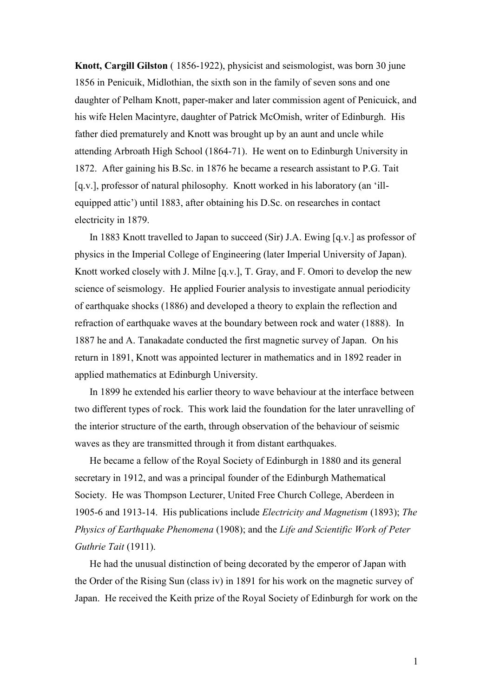**Knott, Cargill Gilston** ( 1856-1922), physicist and seismologist, was born 30 june 1856 in Penicuik, Midlothian, the sixth son in the family of seven sons and one daughter of Pelham Knott, paper-maker and later commission agent of Penicuick, and his wife Helen Macintyre, daughter of Patrick McOmish, writer of Edinburgh. His father died prematurely and Knott was brought up by an aunt and uncle while attending Arbroath High School (1864-71). He went on to Edinburgh University in 1872. After gaining his B.Sc. in 1876 he became a research assistant to P.G. Tait [q.v.], professor of natural philosophy. Knott worked in his laboratory (an 'illequipped attic') until 1883, after obtaining his D.Sc. on researches in contact electricity in 1879.

In 1883 Knott travelled to Japan to succeed (Sir) J.A. Ewing [q.v.] as professor of physics in the Imperial College of Engineering (later Imperial University of Japan). Knott worked closely with J. Milne [q.v.], T. Gray, and F. Omori to develop the new science of seismology. He applied Fourier analysis to investigate annual periodicity of earthquake shocks (1886) and developed a theory to explain the reflection and refraction of earthquake waves at the boundary between rock and water (1888). In 1887 he and A. Tanakadate conducted the first magnetic survey of Japan. On his return in 1891, Knott was appointed lecturer in mathematics and in 1892 reader in applied mathematics at Edinburgh University.

In 1899 he extended his earlier theory to wave behaviour at the interface between two different types of rock. This work laid the foundation for the later unravelling of the interior structure of the earth, through observation of the behaviour of seismic waves as they are transmitted through it from distant earthquakes.

He became a fellow of the Royal Society of Edinburgh in 1880 and its general secretary in 1912, and was a principal founder of the Edinburgh Mathematical Society. He was Thompson Lecturer, United Free Church College, Aberdeen in 1905-6 and 1913-14. His publications include *Electricity and Magnetism* (1893); *The Physics of Earthquake Phenomena* (1908); and the *Life and Scientific Work of Peter Guthrie Tait* (1911).

He had the unusual distinction of being decorated by the emperor of Japan with the Order of the Rising Sun (class iv) in 1891 for his work on the magnetic survey of Japan. He received the Keith prize of the Royal Society of Edinburgh for work on the